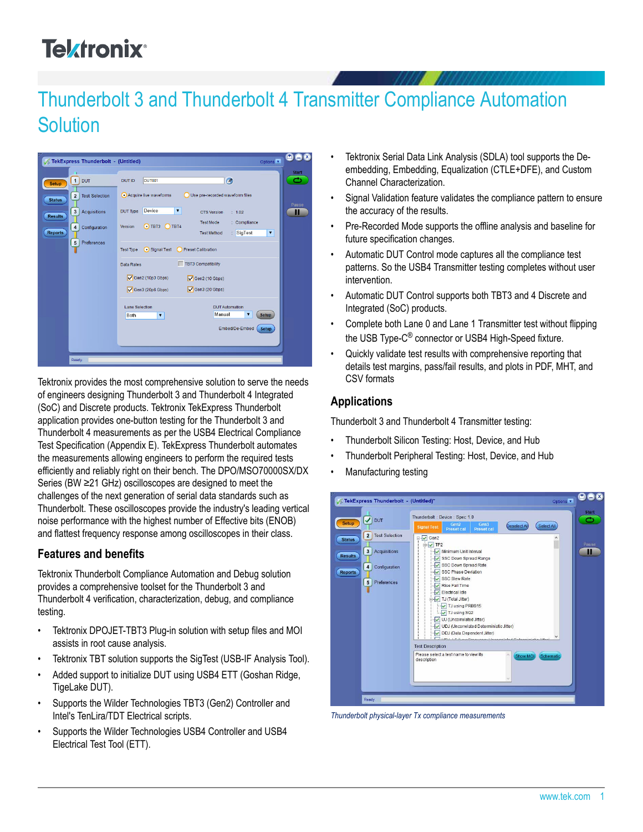# **Telxtronix**<sup>®</sup>

# Thunderbolt 3 and Thunderbolt 4 Transmitter Compliance Automation **Solution**



Tektronix provides the most comprehensive solution to serve the needs of engineers designing Thunderbolt 3 and Thunderbolt 4 Integrated (SoC) and Discrete products. Tektronix TekExpress Thunderbolt application provides one-button testing for the Thunderbolt 3 and Thunderbolt 4 measurements as per the USB4 Electrical Compliance Test Specification (Appendix E). TekExpress Thunderbolt automates the measurements allowing engineers to perform the required tests efficiently and reliably right on their bench. The DPO/MSO70000SX/DX Series (BW ≥21 GHz) oscilloscopes are designed to meet the challenges of the next generation of serial data standards such as Thunderbolt. These oscilloscopes provide the industry's leading vertical noise performance with the highest number of Effective bits (ENOB) and flattest frequency response among oscilloscopes in their class.

# **Features and benefits**

Tektronix Thunderbolt Compliance Automation and Debug solution provides a comprehensive toolset for the Thunderbolt 3 and Thunderbolt 4 verification, characterization, debug, and compliance testing.

- Tektronix DPOJET-TBT3 Plug-in solution with setup files and MOI assists in root cause analysis.
- Tektronix TBT solution supports the SigTest (USB-IF Analysis Tool).
- Added support to initialize DUT using USB4 ETT (Goshan Ridge, TigeLake DUT).
- Supports the Wilder Technologies TBT3 (Gen2) Controller and Intel's TenLira/TDT Electrical scripts.
- Supports the Wilder Technologies USB4 Controller and USB4 Electrical Test Tool (ETT).
- Tektronix Serial Data Link Analysis (SDLA) tool supports the Deembedding, Embedding, Equalization (CTLE+DFE), and Custom Channel Characterization.
- Signal Validation feature validates the compliance pattern to ensure the accuracy of the results.
- Pre-Recorded Mode supports the offline analysis and baseline for future specification changes.
- Automatic DUT Control mode captures all the compliance test patterns. So the USB4 Transmitter testing completes without user intervention.
- Automatic DUT Control supports both TBT3 and 4 Discrete and Integrated (SoC) products.
- Complete both Lane 0 and Lane 1 Transmitter test without flipping the USB Type-C® connector or USB4 High-Speed fixture.
- Quickly validate test results with comprehensive reporting that details test margins, pass/fail results, and plots in PDF, MHT, and CSV formats

#### **Applications**

Thunderbolt 3 and Thunderbolt 4 Transmitter testing:

- Thunderbolt Silicon Testing: Host, Device, and Hub
- Thunderbolt Peripheral Testing: Host, Device, and Hub
- Manufacturing testing



*Thunderbolt physical-layer Tx compliance measurements*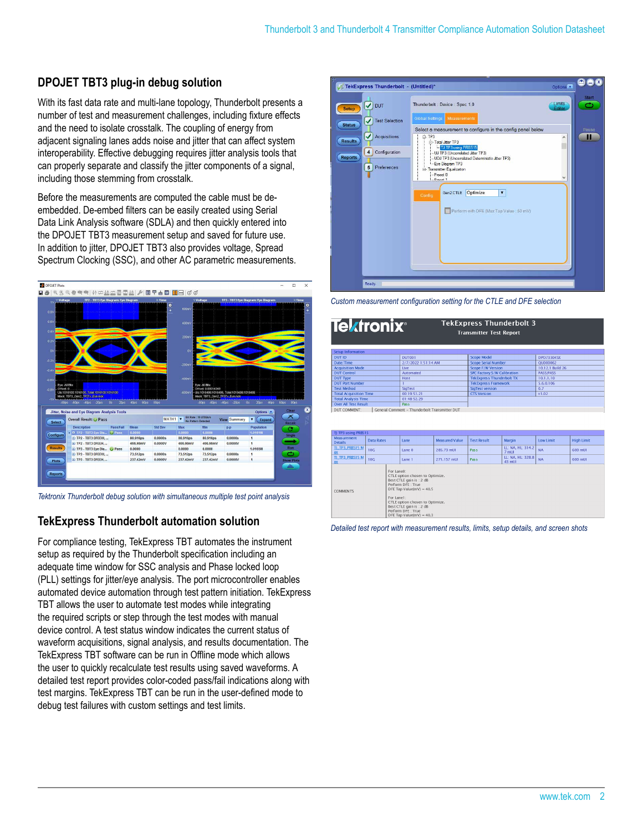## **DPOJET TBT3 plug-in debug solution**

With its fast data rate and multi-lane topology, Thunderbolt presents a number of test and measurement challenges, including fixture effects and the need to isolate crosstalk. The coupling of energy from adjacent signaling lanes adds noise and jitter that can affect system interoperability. Effective debugging requires jitter analysis tools that can properly separate and classify the jitter components of a signal, including those stemming from crosstalk.

Before the measurements are computed the cable must be deembedded. De-embed filters can be easily created using Serial Data Link Analysis software (SDLA) and then quickly entered into the DPOJET TBT3 measurement setup and saved for future use. In addition to jitter, DPOJET TBT3 also provides voltage, Spread Spectrum Clocking (SSC), and other AC parametric measurements.



*Tektronix Thunderbolt debug solution with simultaneous multiple test point analysis*

#### **TekExpress Thunderbolt automation solution**

For compliance testing, TekExpress TBT automates the instrument setup as required by the Thunderbolt specification including an adequate time window for SSC analysis and Phase locked loop (PLL) settings for jitter/eye analysis. The port microcontroller enables automated device automation through test pattern initiation. TekExpress TBT allows the user to automate test modes while integrating the required scripts or step through the test modes with manual device control. A test status window indicates the current status of waveform acquisitions, signal analysis, and results documentation. The TekExpress TBT software can be run in Offline mode which allows the user to quickly recalculate test results using saved waveforms. A detailed test report provides color-coded pass/fail indications along with test margins. TekExpress TBT can be run in the user-defined mode to debug test failures with custom settings and test limits.



*Custom measurement configuration setting for the CTLE and DFE selection*

| <b>TekExpress Thunderbolt 3</b><br><b>Tektronix</b> ®<br><b>Transmitter Test Report</b> |                     |                                   |                  |
|-----------------------------------------------------------------------------------------|---------------------|-----------------------------------|------------------|
| Setup Information                                                                       |                     |                                   |                  |
| DUT ID.                                                                                 | DUT001              | Scope Model                       | DPO733045X       |
| Date/Time                                                                               | 2/7/2022 1:51:14 AM | <b>Scope Serial Number</b>        | OU000062         |
| <b>Acquisition Mode</b>                                                                 | Live                | Scope F/W Version                 | 10.12.1 Build 26 |
| <b>DUT Control</b>                                                                      | Automated           | SPC Factory: S/W Calibration      | PASS:PASS        |
| <b>DUT Type</b>                                                                         | <b>HOST</b>         | <b>Tek Express Thunderbolt TX</b> | 10.1.1.10        |
| <b>DUT Port Number</b>                                                                  |                     | <b>Tek Express Framework</b>      | 5.6.0.106        |
| <b>Test Method</b>                                                                      | SigTest             | SigTest version                   | 0.7              |
| <b>Total Acquisition Time</b>                                                           | 00:19:51.21         | <b>CTS Version</b>                | V1.02            |
| <b>Total Analysis Time</b>                                                              | 01:48:52.29         |                                   |                  |
| <b>Over All Test Result</b>                                                             | <b>Pass</b>         |                                   |                  |
| General Comment - Thunderbolt Transmitter DUT<br>DUT COMMENT:                           |                     |                                   |                  |

| TJ TP3 using PRBS15                  |                                                                                                                                                                                                                                                                |  |        |                       |                    |                             |           |                   |
|--------------------------------------|----------------------------------------------------------------------------------------------------------------------------------------------------------------------------------------------------------------------------------------------------------------|--|--------|-----------------------|--------------------|-----------------------------|-----------|-------------------|
| <b>Measurement</b><br><b>Details</b> | <b>Data Rates</b>                                                                                                                                                                                                                                              |  | Lane   | <b>Measured Value</b> | <b>Test Result</b> | Margin                      | Low Limit | <b>High Limit</b> |
| TL_TP3_PRBS15 M<br>ax                | <b>10G</b>                                                                                                                                                                                                                                                     |  | Lane 0 | 285,73 mUI            | Pas <sub>s</sub>   | LL: NA, HL: 314.2<br>7 mUI  | <b>NA</b> | 600 mUI           |
| TLTP3_PRBS15 M<br>ax                 | <b>10G</b>                                                                                                                                                                                                                                                     |  | Lane 1 | 271.157 mUI           | Pass               | LL: NA, HL: 328.8<br>43 mUL | <b>NA</b> | 600 mUI           |
| <b>COMMENTS</b>                      | For Lane0:<br>CTLE option chosen to Optimize.<br>Best CTLE gain is: 2 dB<br>Perform DFE: True<br>DFE Tap Value( $mV$ ) = 40.5<br>For Lane1:<br>CTLE option chosen to Optimize.<br>Best CTLE gain is: 2 dB<br>Perform DFE: True<br>DFE Tap Value( $mV$ ) = 40.3 |  |        |                       |                    |                             |           |                   |

*Detailed test report with measurement results, limits, setup details, and screen shots*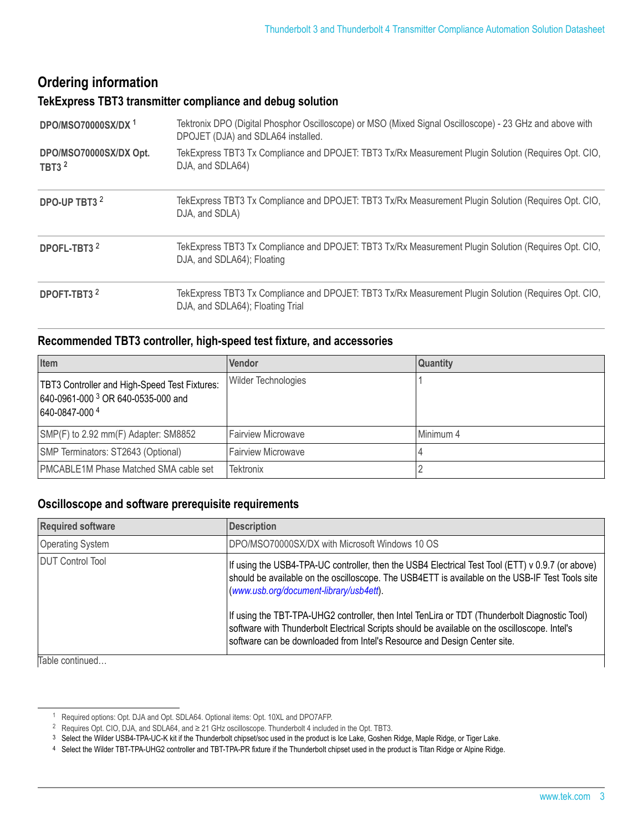# **Ordering information**

#### **TekExpress TBT3 transmitter compliance and debug solution**

| DPO/MSO70000SX/DX <sup>1</sup>                    | Tektronix DPO (Digital Phosphor Oscilloscope) or MSO (Mixed Signal Oscilloscope) - 23 GHz and above with<br>DPOJET (DJA) and SDLA64 installed. |
|---------------------------------------------------|------------------------------------------------------------------------------------------------------------------------------------------------|
| DPO/MSO70000SX/DX Opt.<br><b>TBT3<sup>2</sup></b> | TekExpress TBT3 Tx Compliance and DPOJET: TBT3 Tx/Rx Measurement Plugin Solution (Requires Opt. CIO,<br>DJA, and SDLA64)                       |
| DPO-UP TBT3 <sup>2</sup>                          | TekExpress TBT3 Tx Compliance and DPOJET: TBT3 Tx/Rx Measurement Plugin Solution (Requires Opt. CIO,<br>DJA, and SDLA)                         |
| DPOFL-TBT3 <sup>2</sup>                           | TekExpress TBT3 Tx Compliance and DPOJET: TBT3 Tx/Rx Measurement Plugin Solution (Requires Opt. CIO,<br>DJA, and SDLA64); Floating             |
| DPOFT-TBT3 <sup>2</sup>                           | TekExpress TBT3 Tx Compliance and DPOJET: TBT3 Tx/Rx Measurement Plugin Solution (Requires Opt. CIO,<br>DJA, and SDLA64); Floating Trial       |

#### **Recommended TBT3 controller, high-speed test fixture, and accessories**

| Item                                                                                                                    | Vendor                     | <b>Quantity</b> |
|-------------------------------------------------------------------------------------------------------------------------|----------------------------|-----------------|
| <b>TBT3 Controller and High-Speed Test Fixtures:</b><br>640-0961-000 <sup>3</sup> OR 640-0535-000 and<br>640-0847-000 4 | <b>Wilder Technologies</b> |                 |
| SMP(F) to 2.92 mm(F) Adapter: SM8852                                                                                    | <b>Fairview Microwave</b>  | Minimum 4       |
| SMP Terminators: ST2643 (Optional)                                                                                      | <b>Fairview Microwave</b>  |                 |
| <b>PMCABLE1M Phase Matched SMA cable set</b>                                                                            | <b>Tektronix</b>           |                 |

### **Oscilloscope and software prerequisite requirements**

| <b>Required software</b> | <b>Description</b>                                                                                                                                                                                                                                                         |  |
|--------------------------|----------------------------------------------------------------------------------------------------------------------------------------------------------------------------------------------------------------------------------------------------------------------------|--|
| <b>Operating System</b>  | DPO/MSO70000SX/DX with Microsoft Windows 10 OS                                                                                                                                                                                                                             |  |
| DUT Control Tool         | If using the USB4-TPA-UC controller, then the USB4 Electrical Test Tool (ETT) v 0.9.7 (or above)<br>should be available on the oscilloscope. The USB4ETT is available on the USB-IF Test Tools site<br>(www.usb.org/document-library/usb4ett).                             |  |
|                          | If using the TBT-TPA-UHG2 controller, then Intel TenLira or TDT (Thunderbolt Diagnostic Tool)<br>software with Thunderbolt Electrical Scripts should be available on the oscilloscope. Intel's<br>software can be downloaded from Intel's Resource and Design Center site. |  |
| Table continued          |                                                                                                                                                                                                                                                                            |  |

<sup>1</sup> Required options: Opt. DJA and Opt. SDLA64. Optional items: Opt. 10XL and DPO7AFP.

<sup>2</sup> Requires Opt. CIO, DJA, and SDLA64, and ≥ 21 GHz oscilloscope. Thunderbolt 4 included in the Opt. TBT3.

<sup>3</sup> Select the Wilder USB4-TPA-UC-K kit if the Thunderbolt chipset/soc used in the product is Ice Lake, Goshen Ridge, Maple Ridge, or Tiger Lake.

<sup>4</sup> Select the Wilder TBT-TPA-UHG2 controller and TBT-TPA-PR fixture if the Thunderbolt chipset used in the product is Titan Ridge or Alpine Ridge.